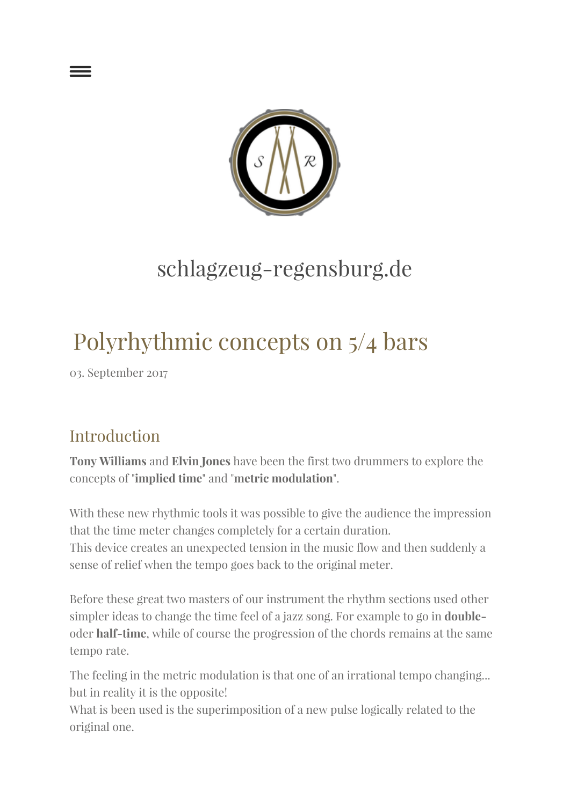

## schlagzeug-regensburg.de

# Polyrhythmic concepts on 5/4 bars

03. September 2017

### Introduction

Tony Williams and Elvin Jones have been the first two drummers to explore the concepts of "implied time" and "metric modulation".

With these new rhythmic tools it was possible to give the audience the impression that the time meter changes completely for a certain duration.

This device creates an unexpected tension in the music flow and then suddenly a sense of relief when the tempo goes back to the original meter.

Before these great two masters of our instrument the rhythm sections used other simpler ideas to change the time feel of a jazz song. For example to go in doubleoder half-time, while of course the progression of the chords remains at the same tempo rate.

The feeling in the metric modulation is that one of an irrational tempo changing... but in reality it is the opposite!

What is been used is the superimposition of a new pulse logically related to the original one.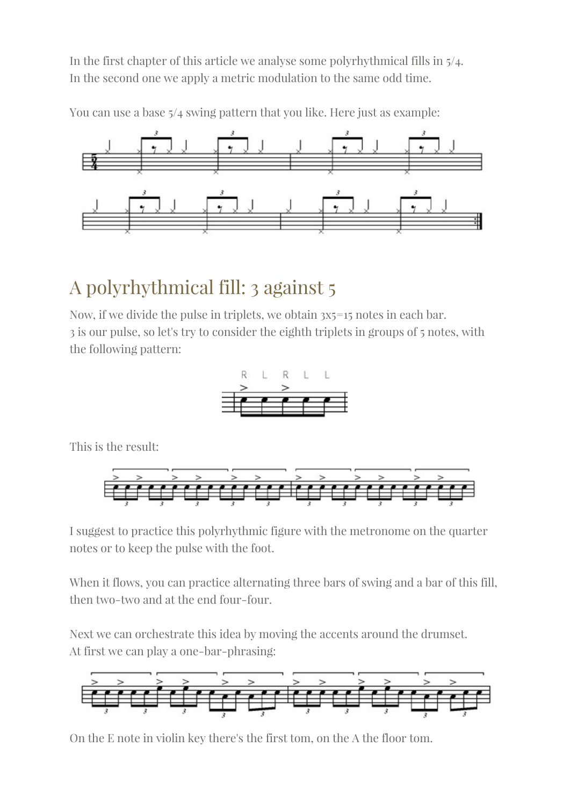In the first chapter of this article we analyse some polyrhythmical fills in 5/4. In the second one we apply a metric modulation to the same odd time.

You can use a base 5/4 swing pattern that you like. Here just as example:



### A polyrhythmical fill: 3 against 5

Now, if we divide the pulse in triplets, we obtain 3x5=15 notes in each bar. 3 is our pulse, so let's try to consider the eighth triplets in groups of 5 notes, with the following pattern:



This is the result:



I suggest to practice this polyrhythmic figure with the metronome on the quarter notes or to keep the pulse with the foot.

When it flows, you can practice alternating three bars of swing and a bar of this fill, then two-two and at the end four-four.

Next we can orchestrate this idea by moving the accents around the drumset. At first we can play a one-bar-phrasing:



On the E note in violin key there's the first tom, on the A the floor tom.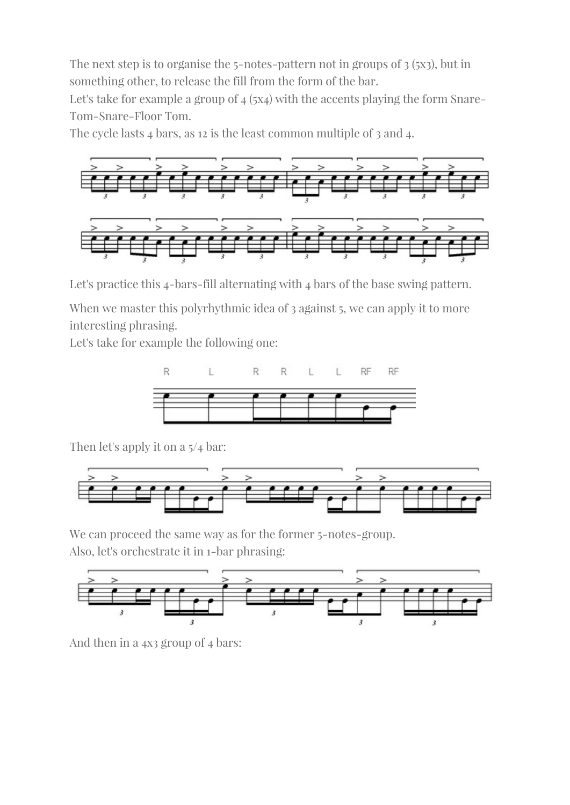The next step is to organise the 5-notes-pattern not in groups of 3 (5x3), but in something other, to release the fill from the form of the bar.

Let's take for example a group of  $_4$  (5x<sub>4</sub>) with the accents playing the form Snare-Tom-Snare-Floor Tom.

The cycle lasts 4 bars, as 12 is the least common multiple of 3 and 4.



Let's practice this 4-bars-fill alternating with 4 bars of the base swing pattern.

When we master this polyrhythmic idea of 3 against 5, we can apply it to more interesting phrasing.

Let's take for example the following one:



Then let's apply it on a 5/4 bar:



We can proceed the same way as for the former 5-notes-group. Also, let's orchestrate it in 1-bar phrasing:



And then in a 4x3 group of 4 bars: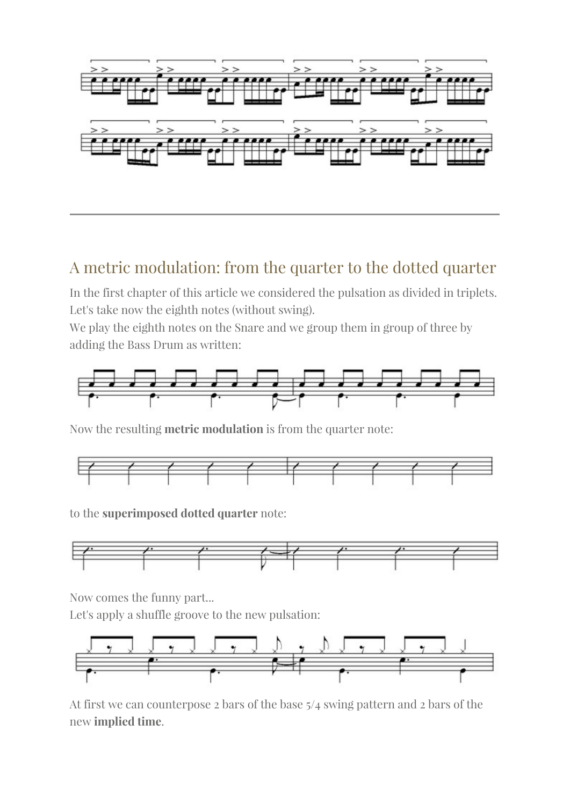

#### A metric modulation: from the quarter to the dotted quarter

In the first chapter of this article we considered the pulsation as divided in triplets. Let's take now the eighth notes (without swing).

We play the eighth notes on the Snare and we group them in group of three by adding the Bass Drum as written:



Now the resulting metric modulation is from the quarter note:



to the superimposed dotted quarter note:



Now comes the funny part...

Let's apply a shuffle groove to the new pulsation:



At first we can counterpose 2 bars of the base 5/4 swing pattern and 2 bars of the new implied time.